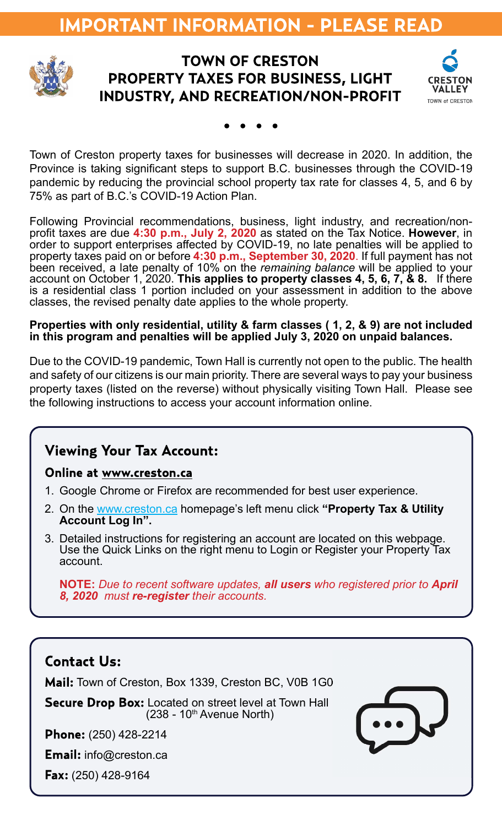# **IMPORTANT INFORMATION - PLEASE READ**



#### **TOWN OF CRESTON PROPERTY TAXES FOR BUSINESS, LIGHT INDUSTRY, AND RECREATION/NON-PROFIT**



Town of Creston property taxes for businesses will decrease in 2020. In addition, the Province is taking significant steps to support B.C. businesses through the COVID-19 pandemic by reducing the provincial school property tax rate for classes 4, 5, and 6 by 75% as part of B.C.'s COVID-19 Action Plan.

Following Provincial recommendations, business, light industry, and recreation/nonprofit taxes are due 4:30 p.m., July 2, 2020 as stated on the Tax Notice. However, in order to support enterprises affected by COVID-19, no late penalties will be applied to property taxes paid on or before 4:30 p.m., September 30, 2020. If full payment has not been received, a late penalty of 10% on the remaining balance will be applied to your account on October 1, 2020. This applies to property classes 4, 5, 6, 7, & 8. If there is a residential class 1 portion included on your assessment in addition to the above classes, the revised penalty date applies to the whole property.

#### Properties with only residential, utility & farm classes ( 1, 2, & 9) are not included in this program and penalties will be applied July 3, 2020 on unpaid balances.

Due to the COVID-19 pandemic, Town Hall is currently not open to the public. The health and safety of our citizens is our main priority. There are several ways to pay your business property taxes (listed on the reverse) without physically visiting Town Hall. Please see the following instructions to access your account information online.

#### **Viewing Your Tax Account:**

#### Online at www.creston.ca

- 1. Google Chrome or Firefox are recommended for best user experience.
- 2. On the www.creston.ca homepage's left menu click "Property Tax & Utility Account Log In".
- 3. Detailed instructions for registering an account are located on this webpage. Use the Quick Links on the right menu to Login or Register your Property Tax account.

NOTE: Due to recent software updates, all users who registered prior to April 8, 2020 must re-register their accounts.

#### **Contact Us:**

Mail: Town of Creston, Box 1339, Creston BC, V0B 1G0

**Secure Drop Box:** Located on street level at Town Hall  $(238 - 10^{th}$  Avenue North)

**Phone:** (250) 428-2214

**Email:** info@creston.ca

Fax: (250) 428-9164